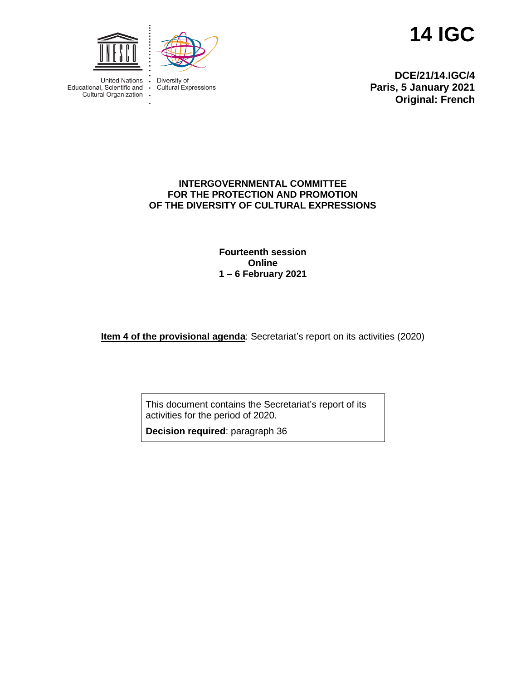**14 IGC**



 $\bullet$ 

 $\ddot{\phantom{0}}$ 



**United Nations** Educational, Scientific and  $\cdot$ Cultural Organization

Diversity of<br>Cultural Expressions

**DCE/21/14.IGC/4 Paris, 5 January 2021 Original: French**

### **INTERGOVERNMENTAL COMMITTEE FOR THE PROTECTION AND PROMOTION OF THE DIVERSITY OF CULTURAL EXPRESSIONS**

**Fourteenth session Online 1 – 6 February 2021**

**Item 4 of the provisional agenda**: Secretariat's report on its activities (2020)

This document contains the Secretariat's report of its activities for the period of 2020.

**Decision required**: paragraph 36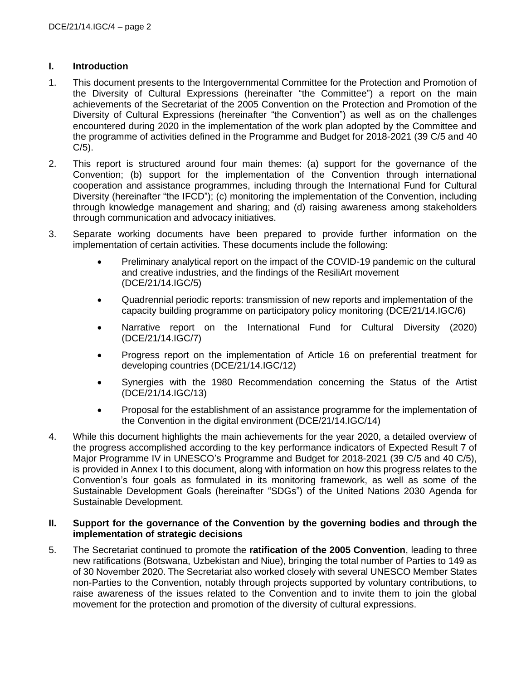### **I. Introduction**

- 1. This document presents to the Intergovernmental Committee for the Protection and Promotion of the Diversity of Cultural Expressions (hereinafter "the Committee") a report on the main achievements of the Secretariat of the 2005 Convention on the Protection and Promotion of the Diversity of Cultural Expressions (hereinafter "the Convention") as well as on the challenges encountered during 2020 in the implementation of the work plan adopted by the Committee and the programme of activities defined in the Programme and Budget for 2018-2021 (39 C/5 and 40  $C/5$ ).
- 2. This report is structured around four main themes: (a) support for the governance of the Convention; (b) support for the implementation of the Convention through international cooperation and assistance programmes, including through the International Fund for Cultural Diversity (hereinafter "the IFCD"); (c) monitoring the implementation of the Convention, including through knowledge management and sharing; and (d) raising awareness among stakeholders through communication and advocacy initiatives.
- 3. Separate working documents have been prepared to provide further information on the implementation of certain activities. These documents include the following:
	- Preliminary analytical report on the impact of the COVID-19 pandemic on the cultural and creative industries, and the findings of the ResiliArt movement (DCE/21/14.IGC/5)
	- Quadrennial periodic reports: transmission of new reports and implementation of the capacity building programme on participatory policy monitoring (DCE/21/14.IGC/6)
	- Narrative report on the International Fund for Cultural Diversity (2020) (DCE/21/14.IGC/7)
	- Progress report on the implementation of Article 16 on preferential treatment for developing countries (DCE/21/14.IGC/12)
	- Synergies with the 1980 Recommendation concerning the Status of the Artist (DCE/21/14.IGC/13)
	- Proposal for the establishment of an assistance programme for the implementation of the Convention in the digital environment (DCE/21/14.IGC/14)
- 4. While this document highlights the main achievements for the year 2020, a detailed overview of the progress accomplished according to the key performance indicators of Expected Result 7 of Major Programme IV in UNESCO's Programme and Budget for 2018-2021 (39 C/5 and 40 C/5), is provided in Annex I to this document, along with information on how this progress relates to the Convention's four goals as formulated in its monitoring framework, as well as some of the Sustainable Development Goals (hereinafter "SDGs") of the United Nations 2030 Agenda for Sustainable Development.

#### **II. Support for the governance of the Convention by the governing bodies and through the implementation of strategic decisions**

5. The Secretariat continued to promote the **ratification of the 2005 Convention**, leading to three new ratifications (Botswana, Uzbekistan and Niue), bringing the total number of Parties to 149 as of 30 November 2020. The Secretariat also worked closely with several UNESCO Member States non-Parties to the Convention, notably through projects supported by voluntary contributions, to raise awareness of the issues related to the Convention and to invite them to join the global movement for the protection and promotion of the diversity of cultural expressions.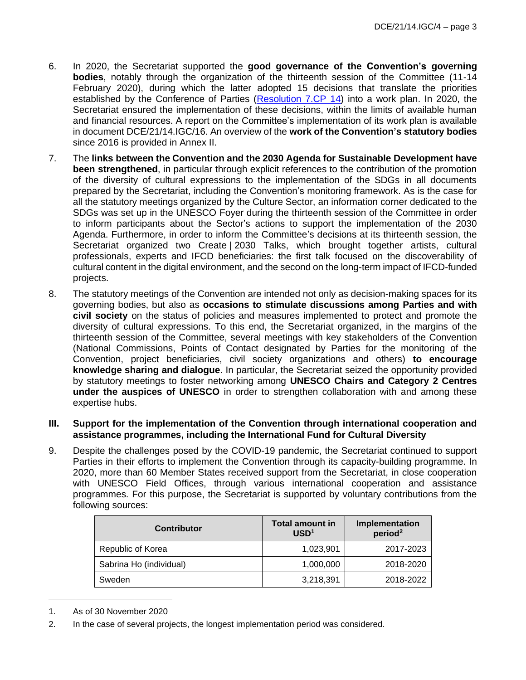- 6. In 2020, the Secretariat supported the **good governance of the Convention's governing bodies**, notably through the organization of the thirteenth session of the Committee (11-14 February 2020), during which the latter adopted 15 decisions that translate the priorities established by the Conference of Parties [\(Resolution 7.CP 14\)](https://en.unesco.org/creativity/sites/creativity/files/sessions/7cp_resolutions_en.pdf) into a work plan. In 2020, the Secretariat ensured the implementation of these decisions, within the limits of available human and financial resources. A report on the Committee's implementation of its work plan is available in document DCE/21/14.IGC/16. An overview of the **work of the Convention's statutory bodies** since 2016 is provided in Annex II.
- 7. The **links between the Convention and the 2030 Agenda for Sustainable Development have been strengthened**, in particular through explicit references to the contribution of the promotion of the diversity of cultural expressions to the implementation of the SDGs in all documents prepared by the Secretariat, including the Convention's monitoring framework. As is the case for all the statutory meetings organized by the Culture Sector, an information corner dedicated to the SDGs was set up in the UNESCO Foyer during the thirteenth session of the Committee in order to inform participants about the Sector's actions to support the implementation of the 2030 Agenda. Furthermore, in order to inform the Committee's decisions at its thirteenth session, the Secretariat organized two Create | 2030 Talks, which brought together artists, cultural professionals, experts and IFCD beneficiaries: the first talk focused on the discoverability of cultural content in the digital environment, and the second on the long-term impact of IFCD-funded projects.
- 8. The statutory meetings of the Convention are intended not only as decision-making spaces for its governing bodies, but also as **occasions to stimulate discussions among Parties and with civil society** on the status of policies and measures implemented to protect and promote the diversity of cultural expressions. To this end, the Secretariat organized, in the margins of the thirteenth session of the Committee, several meetings with key stakeholders of the Convention (National Commissions, Points of Contact designated by Parties for the monitoring of the Convention, project beneficiaries, civil society organizations and others) **to encourage knowledge sharing and dialogue**. In particular, the Secretariat seized the opportunity provided by statutory meetings to foster networking among **UNESCO Chairs and Category 2 Centres under the auspices of UNESCO** in order to strengthen collaboration with and among these expertise hubs.

#### **III. Support for the implementation of the Convention through international cooperation and assistance programmes, including the International Fund for Cultural Diversity**

9. Despite the challenges posed by the COVID-19 pandemic, the Secretariat continued to support Parties in their efforts to implement the Convention through its capacity-building programme. In 2020, more than 60 Member States received support from the Secretariat, in close cooperation with UNESCO Field Offices, through various international cooperation and assistance programmes. For this purpose, the Secretariat is supported by voluntary contributions from the following sources:

| <b>Contributor</b>      | <b>Total amount in</b><br>USD <sup>1</sup> | Implementation<br>period <sup>2</sup> |
|-------------------------|--------------------------------------------|---------------------------------------|
| Republic of Korea       | 1,023,901                                  | 2017-2023                             |
| Sabrina Ho (individual) | 1,000,000                                  | 2018-2020                             |
| Sweden                  | 3,218,391                                  | 2018-2022                             |

<sup>1.</sup> As of 30 November 2020

<sup>2.</sup> In the case of several projects, the longest implementation period was considered.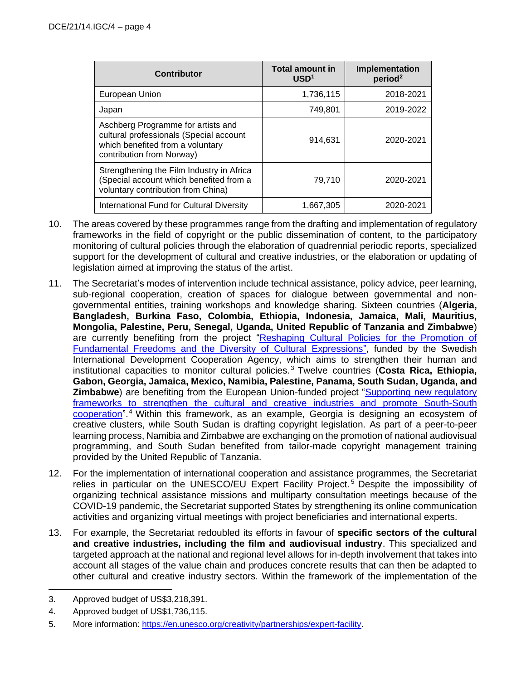| <b>Contributor</b>                                                                                                                             | <b>Total amount in</b><br>USD <sup>1</sup> | Implementation<br>period <sup>2</sup> |
|------------------------------------------------------------------------------------------------------------------------------------------------|--------------------------------------------|---------------------------------------|
| European Union                                                                                                                                 | 1,736,115                                  | 2018-2021                             |
| Japan                                                                                                                                          | 749,801                                    | 2019-2022                             |
| Aschberg Programme for artists and<br>cultural professionals (Special account<br>which benefited from a voluntary<br>contribution from Norway) | 914.631                                    | 2020-2021                             |
| Strengthening the Film Industry in Africa<br>(Special account which benefited from a<br>voluntary contribution from China)                     | 79.710                                     | 2020-2021                             |
| International Fund for Cultural Diversity                                                                                                      | 1,667,305                                  | 2020-2021                             |

- 10. The areas covered by these programmes range from the drafting and implementation of regulatory frameworks in the field of copyright or the public dissemination of content, to the participatory monitoring of cultural policies through the elaboration of quadrennial periodic reports, specialized support for the development of cultural and creative industries, or the elaboration or updating of legislation aimed at improving the status of the artist.
- 11. The Secretariat's modes of intervention include technical assistance, policy advice, peer learning, sub-regional cooperation, creation of spaces for dialogue between governmental and nongovernmental entities, training workshops and knowledge sharing. Sixteen countries (**Algeria, Bangladesh, Burkina Faso, Colombia, Ethiopia, Indonesia, Jamaica, Mali, Mauritius, Mongolia, Palestine, Peru, Senegal, Uganda, United Republic of Tanzania and Zimbabwe**) are currently benefiting from the project ["Reshaping Cultural Policies for the Promotion of](https://en.unesco.org/creativity/activities/reshaping-cultural-policies-promotion-fundamental)  [Fundamental Freedoms and the Diversity of Cultural Expressions"](https://en.unesco.org/creativity/activities/reshaping-cultural-policies-promotion-fundamental), funded by the Swedish International Development Cooperation Agency, which aims to strengthen their human and institutional capacities to monitor cultural policies. <sup>3</sup> Twelve countries (**Costa Rica, Ethiopia, Gabon, Georgia, Jamaica, Mexico, Namibia, Palestine, Panama, South Sudan, Uganda, and Zimbabwe**) are benefiting from the European Union-funded project "Supporting new regulatory [frameworks to strengthen the cultural and creative industries and promote South-South](https://en.unesco.org/creativity/activities/supporting-new-regulatory-frameworks-strengthen)  [cooperation"](https://en.unesco.org/creativity/activities/supporting-new-regulatory-frameworks-strengthen).<sup>4</sup> Within this framework, as an example, Georgia is designing an ecosystem of creative clusters, while South Sudan is drafting copyright legislation. As part of a peer-to-peer learning process, Namibia and Zimbabwe are exchanging on the promotion of national audiovisual programming, and South Sudan benefited from tailor-made copyright management training provided by the United Republic of Tanzania.
- 12. For the implementation of international cooperation and assistance programmes, the Secretariat relies in particular on the UNESCO/EU Expert Facility Project.<sup>5</sup> Despite the impossibility of organizing technical assistance missions and multiparty consultation meetings because of the COVID-19 pandemic, the Secretariat supported States by strengthening its online communication activities and organizing virtual meetings with project beneficiaries and international experts.
- 13. For example, the Secretariat redoubled its efforts in favour of **specific sectors of the cultural and creative industries, including the film and audiovisual industry**. This specialized and targeted approach at the national and regional level allows for in-depth involvement that takes into account all stages of the value chain and produces concrete results that can then be adapted to other cultural and creative industry sectors. Within the framework of the implementation of the

<sup>3.</sup> Approved budget of US\$3,218,391.

<sup>4.</sup> Approved budget of US\$1,736,115.

<sup>5.</sup> More information: [https://en.unesco.org/creativity/partnerships/expert-facility.](https://en.unesco.org/creativity/partnerships/expert-facility)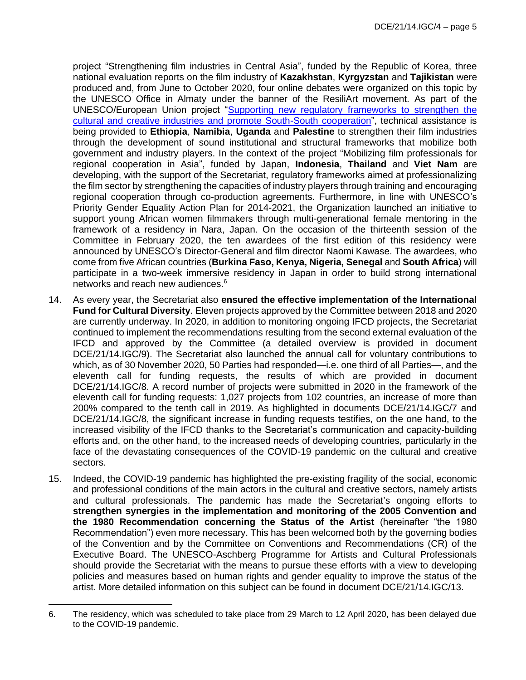project "Strengthening film industries in Central Asia", funded by the Republic of Korea, three national evaluation reports on the film industry of **Kazakhstan**, **Kyrgyzstan** and **Tajikistan** were produced and, from June to October 2020, four online debates were organized on this topic by the UNESCO Office in Almaty under the banner of the ResiliArt movement. As part of the UNESCO/European Union project ["Supporting new regulatory frameworks to strengthen the](https://en.unesco.org/creativity/activities/supporting-new-regulatory-frameworks-strengthen)  [cultural and creative industries and promote South-South cooperation"](https://en.unesco.org/creativity/activities/supporting-new-regulatory-frameworks-strengthen), technical assistance is being provided to **Ethiopia**, **Namibia**, **Uganda** and **Palestine** to strengthen their film industries through the development of sound institutional and structural frameworks that mobilize both government and industry players. In the context of the project "Mobilizing film professionals for regional cooperation in Asia", funded by Japan, **Indonesia**, **Thailand** and **Viet Nam** are developing, with the support of the Secretariat, regulatory frameworks aimed at professionalizing the film sector by strengthening the capacities of industry players through training and encouraging regional cooperation through co-production agreements. Furthermore, in line with UNESCO's Priority Gender Equality Action Plan for 2014-2021, the Organization launched an initiative to support young African women filmmakers through multi-generational female mentoring in the framework of a residency in Nara, Japan. On the occasion of the thirteenth session of the Committee in February 2020, the ten awardees of the first edition of this residency were announced by UNESCO's Director-General and film director Naomi Kawase. The awardees, who come from five African countries (**Burkina Faso, Kenya, Nigeria, Senegal** and **South Africa**) will participate in a two-week immersive residency in Japan in order to build strong international networks and reach new audiences.<sup>6</sup>

- 14. As every year, the Secretariat also **ensured the effective implementation of the International Fund for Cultural Diversity**. Eleven projects approved by the Committee between 2018 and 2020 are currently underway. In 2020, in addition to monitoring ongoing IFCD projects, the Secretariat continued to implement the recommendations resulting from the second external evaluation of the IFCD and approved by the Committee (a detailed overview is provided in document DCE/21/14.IGC/9). The Secretariat also launched the annual call for voluntary contributions to which, as of 30 November 2020, 50 Parties had responded—i.e. one third of all Parties—, and the eleventh call for funding requests, the results of which are provided in document DCE/21/14.IGC/8. A record number of projects were submitted in 2020 in the framework of the eleventh call for funding requests: 1,027 projects from 102 countries, an increase of more than 200% compared to the tenth call in 2019. As highlighted in documents DCE/21/14.IGC/7 and DCE/21/14.IGC/8, the significant increase in funding requests testifies, on the one hand, to the increased visibility of the IFCD thanks to the Secretariat's communication and capacity-building efforts and, on the other hand, to the increased needs of developing countries, particularly in the face of the devastating consequences of the COVID-19 pandemic on the cultural and creative sectors.
- 15. Indeed, the COVID-19 pandemic has highlighted the pre-existing fragility of the social, economic and professional conditions of the main actors in the cultural and creative sectors, namely artists and cultural professionals. The pandemic has made the Secretariat's ongoing efforts to **strengthen synergies in the implementation and monitoring of the 2005 Convention and the 1980 Recommendation concerning the Status of the Artist** (hereinafter "the 1980 Recommendation") even more necessary. This has been welcomed both by the governing bodies of the Convention and by the Committee on Conventions and Recommendations (CR) of the Executive Board. The UNESCO-Aschberg Programme for Artists and Cultural Professionals should provide the Secretariat with the means to pursue these efforts with a view to developing policies and measures based on human rights and gender equality to improve the status of the artist. More detailed information on this subject can be found in document DCE/21/14.IGC/13.

<sup>6.</sup> The residency, which was scheduled to take place from 29 March to 12 April 2020, has been delayed due to the COVID-19 pandemic.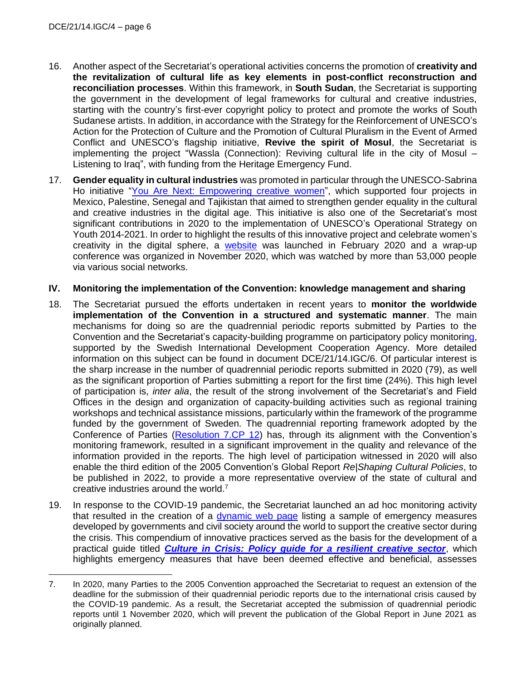- 16. Another aspect of the Secretariat's operational activities concerns the promotion of **creativity and the revitalization of cultural life as key elements in post-conflict reconstruction and reconciliation processes**. Within this framework, in **South Sudan**, the Secretariat is supporting the government in the development of legal frameworks for cultural and creative industries, starting with the country's first-ever copyright policy to protect and promote the works of South Sudanese artists. In addition, in accordance with the Strategy for the Reinforcement of UNESCO's Action for the Protection of Culture and the Promotion of Cultural Pluralism in the Event of Armed Conflict and UNESCO's flagship initiative, **Revive the spirit of Mosul**, the Secretariat is implementing the project "Wassla (Connection): Reviving cultural life in the city of Mosul – Listening to Iraq", with funding from the Heritage Emergency Fund.
- 17. **Gender equality in cultural industries** was promoted in particular through the UNESCO-Sabrina Ho initiative ["You Are Next: Empowering creative women"](https://www.you-are-next.org/), which supported four projects in Mexico, Palestine, Senegal and Tajikistan that aimed to strengthen gender equality in the cultural and creative industries in the digital age. This initiative is also one of the Secretariat's most significant contributions in 2020 to the implementation of UNESCO's Operational Strategy on Youth 2014-2021. In order to highlight the results of this innovative project and celebrate women's creativity in the digital sphere, a [website](https://www.you-are-next.org/) was launched in February 2020 and a wrap-up conference was organized in November 2020, which was watched by more than 53,000 people via various social networks.

#### **IV. Monitoring the implementation of the Convention: knowledge management and sharing**

- 18. The Secretariat pursued the efforts undertaken in recent years to **monitor the worldwide implementation of the Convention in a structured and systematic manner**. The main mechanisms for doing so are the quadrennial periodic reports submitted by Parties to the Convention and the Secretariat's capacity-building programme on participatory policy monitoring, supported by the Swedish International Development Cooperation Agency. More detailed information on this subject can be found in document DCE/21/14.IGC/6. Of particular interest is the sharp increase in the number of quadrennial periodic reports submitted in 2020 (79), as well as the significant proportion of Parties submitting a report for the first time (24%). This high level of participation is, *inter alia*, the result of the strong involvement of the Secretariat's and Field Offices in the design and organization of capacity-building activities such as regional training workshops and technical assistance missions, particularly within the framework of the programme funded by the government of Sweden. The quadrennial reporting framework adopted by the Conference of Parties [\(Resolution 7.CP 12\)](https://en.unesco.org/creativity/sites/creativity/files/sessions/7cp_resolutions_en.pdf) has, through its alignment with the Convention's monitoring framework, resulted in a significant improvement in the quality and relevance of the information provided in the reports. The high level of participation witnessed in 2020 will also enable the third edition of the 2005 Convention's Global Report *Re|Shaping Cultural Policies*, to be published in 2022, to provide a more representative overview of the state of cultural and creative industries around the world.<sup>7</sup>
- 19. In response to the COVID-19 pandemic, the Secretariat launched an ad hoc monitoring activity that resulted in the creation of a [dynamic web page](https://en.unesco.org/creativity/covid-19) listing a sample of emergency measures developed by governments and civil society around the world to support the creative sector during the crisis. This compendium of innovative practices served as the basis for the development of a practical guide titled *[Culture in Crisis: Policy guide for a resilient creative sector](https://unesdoc.unesco.org/ark:/48223/pf0000374631)*, which highlights emergency measures that have been deemed effective and beneficial, assesses

<sup>7.</sup> In 2020, many Parties to the 2005 Convention approached the Secretariat to request an extension of the deadline for the submission of their quadrennial periodic reports due to the international crisis caused by the COVID-19 pandemic. As a result, the Secretariat accepted the submission of quadrennial periodic reports until 1 November 2020, which will prevent the publication of the Global Report in June 2021 as originally planned.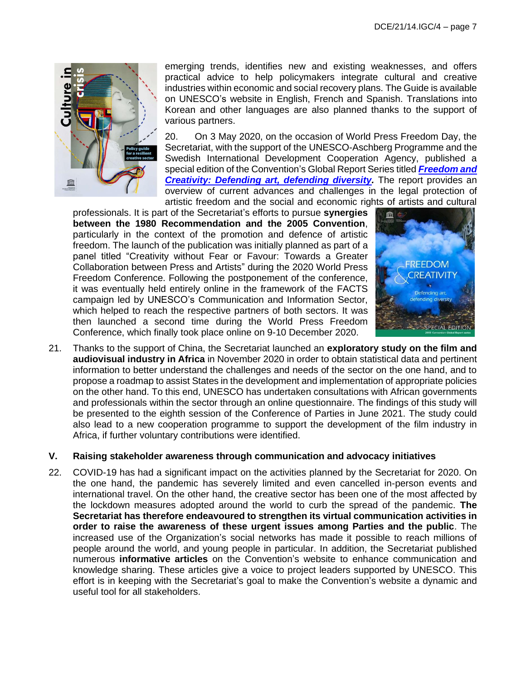

emerging trends, identifies new and existing weaknesses, and offers practical advice to help policymakers integrate cultural and creative industries within economic and social recovery plans. The Guide is available on UNESCO's website in English, French and Spanish. Translations into Korean and other languages are also planned thanks to the support of various partners.

20. On 3 May 2020, on the occasion of World Press Freedom Day, the Secretariat, with the support of the UNESCO-Aschberg Programme and the Swedish International Development Cooperation Agency, published a special edition of the Convention's Global Report Series titled *[Freedom and](https://en.unesco.org/creativity/publications/freedom-creativity-defending-art-defending)  [Creativity: Defending art, defending diversity.](https://en.unesco.org/creativity/publications/freedom-creativity-defending-art-defending)* The report provides an overview of current advances and challenges in the legal protection of artistic freedom and the social and economic rights of artists and cultural

professionals. It is part of the Secretariat's efforts to pursue **synergies between the 1980 Recommendation and the 2005 Convention**, particularly in the context of the promotion and defence of artistic freedom. The launch of the publication was initially planned as part of a panel titled "Creativity without Fear or Favour: Towards a Greater Collaboration between Press and Artists" during the 2020 World Press Freedom Conference. Following the postponement of the conference, it was eventually held entirely online in the framework of the FACTS campaign led by UNESCO's Communication and Information Sector, which helped to reach the respective partners of both sectors. It was then launched a second time during the World Press Freedom Conference, which finally took place online on 9-10 December 2020.



21. Thanks to the support of China, the Secretariat launched an **exploratory study on the film and audiovisual industry in Africa** in November 2020 in order to obtain statistical data and pertinent information to better understand the challenges and needs of the sector on the one hand, and to propose a roadmap to assist States in the development and implementation of appropriate policies on the other hand. To this end, UNESCO has undertaken consultations with African governments and professionals within the sector through an online questionnaire. The findings of this study will be presented to the eighth session of the Conference of Parties in June 2021. The study could also lead to a new cooperation programme to support the development of the film industry in Africa, if further voluntary contributions were identified.

#### **V. Raising stakeholder awareness through communication and advocacy initiatives**

22. COVID-19 has had a significant impact on the activities planned by the Secretariat for 2020. On the one hand, the pandemic has severely limited and even cancelled in-person events and international travel. On the other hand, the creative sector has been one of the most affected by the lockdown measures adopted around the world to curb the spread of the pandemic. **The Secretariat has therefore endeavoured to strengthen its virtual communication activities in order to raise the awareness of these urgent issues among Parties and the public**. The increased use of the Organization's social networks has made it possible to reach millions of people around the world, and young people in particular. In addition, the Secretariat published numerous **informative articles** on the Convention's website to enhance communication and knowledge sharing. These articles give a voice to project leaders supported by UNESCO. This effort is in keeping with the Secretariat's goal to make the Convention's website a dynamic and useful tool for all stakeholders.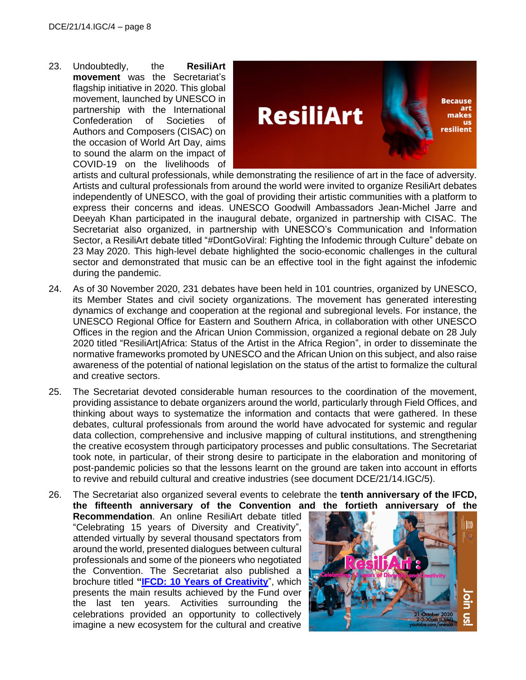23. Undoubtedly, the **ResiliArt movement** was the Secretariat's flagship initiative in 2020. This global movement, launched by UNESCO in partnership with the International Confederation of Societies of Authors and Composers (CISAC) on the occasion of World Art Day, aims to sound the alarm on the impact of COVID-19 on the livelihoods of



artists and cultural professionals, while demonstrating the resilience of art in the face of adversity. Artists and cultural professionals from around the world were invited to organize ResiliArt debates independently of UNESCO, with the goal of providing their artistic communities with a platform to express their concerns and ideas. UNESCO Goodwill Ambassadors Jean-Michel Jarre and Deeyah Khan participated in the inaugural debate, organized in partnership with CISAC. The Secretariat also organized, in partnership with UNESCO's Communication and Information Sector, a ResiliArt debate titled "#DontGoViral: Fighting the Infodemic through Culture" debate on 23 May 2020. This high-level debate highlighted the socio-economic challenges in the cultural sector and demonstrated that music can be an effective tool in the fight against the infodemic during the pandemic.

- 24. As of 30 November 2020, 231 debates have been held in 101 countries, organized by UNESCO, its Member States and civil society organizations. The movement has generated interesting dynamics of exchange and cooperation at the regional and subregional levels. For instance, the UNESCO Regional Office for Eastern and Southern Africa, in collaboration with other UNESCO Offices in the region and the African Union Commission, organized a regional debate on 28 July 2020 titled "ResiliArt|Africa: Status of the Artist in the Africa Region", in order to disseminate the normative frameworks promoted by UNESCO and the African Union on this subject, and also raise awareness of the potential of national legislation on the status of the artist to formalize the cultural and creative sectors.
- 25. The Secretariat devoted considerable human resources to the coordination of the movement, providing assistance to debate organizers around the world, particularly through Field Offices, and thinking about ways to systematize the information and contacts that were gathered. In these debates, cultural professionals from around the world have advocated for systemic and regular data collection, comprehensive and inclusive mapping of cultural institutions, and strengthening the creative ecosystem through participatory processes and public consultations. The Secretariat took note, in particular, of their strong desire to participate in the elaboration and monitoring of post-pandemic policies so that the lessons learnt on the ground are taken into account in efforts to revive and rebuild cultural and creative industries (see document DCE/21/14.IGC/5).

26. The Secretariat also organized several events to celebrate the **tenth anniversary of the IFCD, the fifteenth anniversary of the Convention and the fortieth anniversary of the** 

**Recommendation**. An online ResiliArt debate titled "Celebrating 15 years of Diversity and Creativity", attended virtually by several thousand spectators from around the world, presented dialogues between cultural professionals and some of the pioneers who negotiated the Convention. The Secretariat also published a brochure titled **["IFCD: 10 Years of Creativity](https://en.unesco.org/creativity/publications/ifcd-10-years-creativity)**", which presents the main results achieved by the Fund over the last ten years. Activities surrounding the celebrations provided an opportunity to collectively imagine a new ecosystem for the cultural and creative

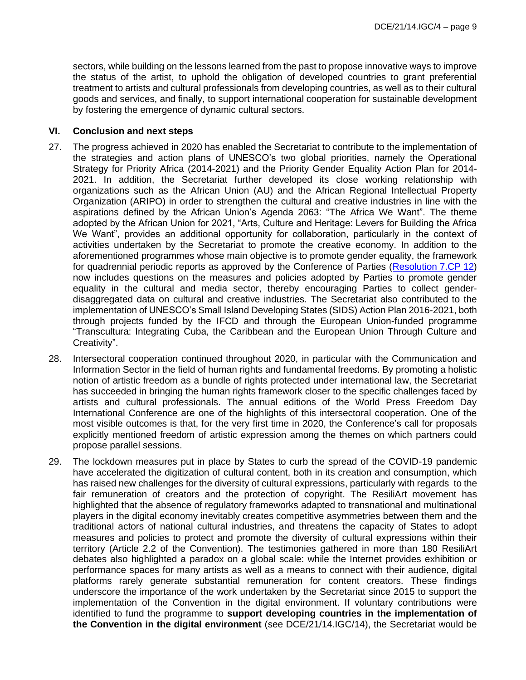sectors, while building on the lessons learned from the past to propose innovative ways to improve the status of the artist, to uphold the obligation of developed countries to grant preferential treatment to artists and cultural professionals from developing countries, as well as to their cultural goods and services, and finally, to support international cooperation for sustainable development by fostering the emergence of dynamic cultural sectors.

#### **VI. Conclusion and next steps**

- 27. The progress achieved in 2020 has enabled the Secretariat to contribute to the implementation of the strategies and action plans of UNESCO's two global priorities, namely the Operational Strategy for Priority Africa (2014-2021) and the Priority Gender Equality Action Plan for 2014- 2021. In addition, the Secretariat further developed its close working relationship with organizations such as the African Union (AU) and the African Regional Intellectual Property Organization (ARIPO) in order to strengthen the cultural and creative industries in line with the aspirations defined by the African Union's Agenda 2063: "The Africa We Want". The theme adopted by the African Union for 2021, "Arts, Culture and Heritage: Levers for Building the Africa We Want", provides an additional opportunity for collaboration, particularly in the context of activities undertaken by the Secretariat to promote the creative economy. In addition to the aforementioned programmes whose main objective is to promote gender equality, the framework for quadrennial periodic reports as approved by the Conference of Parties [\(Resolution](https://en.unesco.org/creativity/sites/creativity/files/sessions/7cp_resolutions_en.pdf) 7.CP 12) now includes questions on the measures and policies adopted by Parties to promote gender equality in the cultural and media sector, thereby encouraging Parties to collect genderdisaggregated data on cultural and creative industries. The Secretariat also contributed to the implementation of UNESCO's Small Island Developing States (SIDS) Action Plan 2016-2021, both through projects funded by the IFCD and through the European Union-funded programme "Transcultura: Integrating Cuba, the Caribbean and the European Union Through Culture and Creativity".
- 28. Intersectoral cooperation continued throughout 2020, in particular with the Communication and Information Sector in the field of human rights and fundamental freedoms. By promoting a holistic notion of artistic freedom as a bundle of rights protected under international law, the Secretariat has succeeded in bringing the human rights framework closer to the specific challenges faced by artists and cultural professionals. The annual editions of the World Press Freedom Day International Conference are one of the highlights of this intersectoral cooperation. One of the most visible outcomes is that, for the very first time in 2020, the Conference's call for proposals explicitly mentioned freedom of artistic expression among the themes on which partners could propose parallel sessions.
- 29. The lockdown measures put in place by States to curb the spread of the COVID-19 pandemic have accelerated the digitization of cultural content, both in its creation and consumption, which has raised new challenges for the diversity of cultural expressions, particularly with regards to the fair remuneration of creators and the protection of copyright. The ResiliArt movement has highlighted that the absence of regulatory frameworks adapted to transnational and multinational players in the digital economy inevitably creates competitive asymmetries between them and the traditional actors of national cultural industries, and threatens the capacity of States to adopt measures and policies to protect and promote the diversity of cultural expressions within their territory (Article 2.2 of the Convention). The testimonies gathered in more than 180 ResiliArt debates also highlighted a paradox on a global scale: while the Internet provides exhibition or performance spaces for many artists as well as a means to connect with their audience, digital platforms rarely generate substantial remuneration for content creators. These findings underscore the importance of the work undertaken by the Secretariat since 2015 to support the implementation of the Convention in the digital environment. If voluntary contributions were identified to fund the programme to **support developing countries in the implementation of the Convention in the digital environment** (see DCE/21/14.IGC/14), the Secretariat would be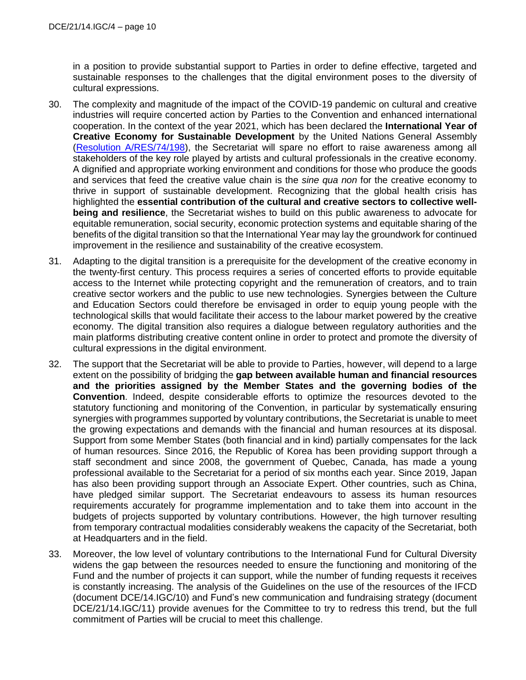in a position to provide substantial support to Parties in order to define effective, targeted and sustainable responses to the challenges that the digital environment poses to the diversity of cultural expressions.

- 30. The complexity and magnitude of the impact of the COVID-19 pandemic on cultural and creative industries will require concerted action by Parties to the Convention and enhanced international cooperation. In the context of the year 2021, which has been declared the **International Year of Creative Economy for Sustainable Development** by the United Nations General Assembly [\(Resolution A/RES/74/198\)](https://undocs.org/en/A/RES/74/198), the Secretariat will spare no effort to raise awareness among all stakeholders of the key role played by artists and cultural professionals in the creative economy. A dignified and appropriate working environment and conditions for those who produce the goods and services that feed the creative value chain is the *sine qua non* for the creative economy to thrive in support of sustainable development. Recognizing that the global health crisis has highlighted the **essential contribution of the cultural and creative sectors to collective wellbeing and resilience**, the Secretariat wishes to build on this public awareness to advocate for equitable remuneration, social security, economic protection systems and equitable sharing of the benefits of the digital transition so that the International Year may lay the groundwork for continued improvement in the resilience and sustainability of the creative ecosystem.
- 31. Adapting to the digital transition is a prerequisite for the development of the creative economy in the twenty-first century. This process requires a series of concerted efforts to provide equitable access to the Internet while protecting copyright and the remuneration of creators, and to train creative sector workers and the public to use new technologies. Synergies between the Culture and Education Sectors could therefore be envisaged in order to equip young people with the technological skills that would facilitate their access to the labour market powered by the creative economy. The digital transition also requires a dialogue between regulatory authorities and the main platforms distributing creative content online in order to protect and promote the diversity of cultural expressions in the digital environment.
- 32. The support that the Secretariat will be able to provide to Parties, however, will depend to a large extent on the possibility of bridging the **gap between available human and financial resources and the priorities assigned by the Member States and the governing bodies of the Convention**. Indeed, despite considerable efforts to optimize the resources devoted to the statutory functioning and monitoring of the Convention, in particular by systematically ensuring synergies with programmes supported by voluntary contributions, the Secretariat is unable to meet the growing expectations and demands with the financial and human resources at its disposal. Support from some Member States (both financial and in kind) partially compensates for the lack of human resources. Since 2016, the Republic of Korea has been providing support through a staff secondment and since 2008, the government of Quebec, Canada, has made a young professional available to the Secretariat for a period of six months each year. Since 2019, Japan has also been providing support through an Associate Expert. Other countries, such as China, have pledged similar support. The Secretariat endeavours to assess its human resources requirements accurately for programme implementation and to take them into account in the budgets of projects supported by voluntary contributions. However, the high turnover resulting from temporary contractual modalities considerably weakens the capacity of the Secretariat, both at Headquarters and in the field.
- 33. Moreover, the low level of voluntary contributions to the International Fund for Cultural Diversity widens the gap between the resources needed to ensure the functioning and monitoring of the Fund and the number of projects it can support, while the number of funding requests it receives is constantly increasing. The analysis of the Guidelines on the use of the resources of the IFCD (document DCE/14.IGC/10) and Fund's new communication and fundraising strategy (document DCE/21/14.IGC/11) provide avenues for the Committee to try to redress this trend, but the full commitment of Parties will be crucial to meet this challenge.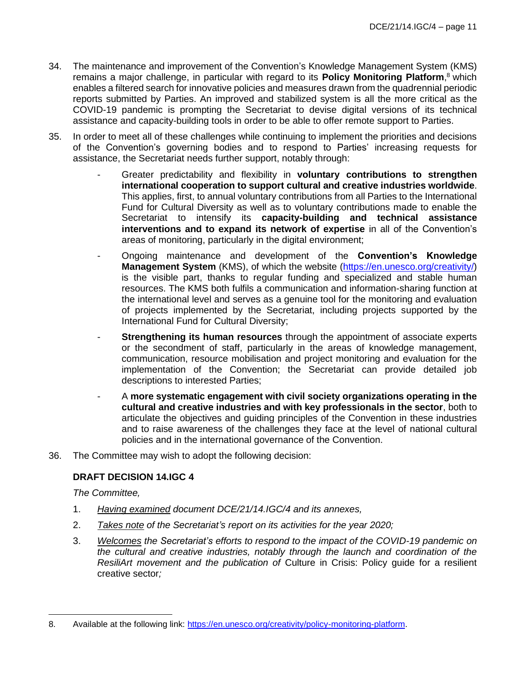- 34. The maintenance and improvement of the Convention's Knowledge Management System (KMS) remains a major challenge, in particular with regard to its **Policy Monitoring Platform**, <sup>8</sup> which enables a filtered search for innovative policies and measures drawn from the quadrennial periodic reports submitted by Parties. An improved and stabilized system is all the more critical as the COVID-19 pandemic is prompting the Secretariat to devise digital versions of its technical assistance and capacity-building tools in order to be able to offer remote support to Parties.
- 35. In order to meet all of these challenges while continuing to implement the priorities and decisions of the Convention's governing bodies and to respond to Parties' increasing requests for assistance, the Secretariat needs further support, notably through:
	- Greater predictability and flexibility in **voluntary contributions to strengthen international cooperation to support cultural and creative industries worldwide**. This applies, first, to annual voluntary contributions from all Parties to the International Fund for Cultural Diversity as well as to voluntary contributions made to enable the Secretariat to intensify its **capacity-building and technical assistance interventions and to expand its network of expertise** in all of the Convention's areas of monitoring, particularly in the digital environment;
	- Ongoing maintenance and development of the **Convention's Knowledge Management System** (KMS), of which the website [\(https://en.unesco.org/creativity/\)](https://en.unesco.org/creativity/) is the visible part, thanks to regular funding and specialized and stable human resources. The KMS both fulfils a communication and information-sharing function at the international level and serves as a genuine tool for the monitoring and evaluation of projects implemented by the Secretariat, including projects supported by the International Fund for Cultural Diversity;
	- **Strengthening its human resources** through the appointment of associate experts or the secondment of staff, particularly in the areas of knowledge management, communication, resource mobilisation and project monitoring and evaluation for the implementation of the Convention; the Secretariat can provide detailed job descriptions to interested Parties;
	- A **more systematic engagement with civil society organizations operating in the cultural and creative industries and with key professionals in the sector**, both to articulate the objectives and guiding principles of the Convention in these industries and to raise awareness of the challenges they face at the level of national cultural policies and in the international governance of the Convention.
- 36. The Committee may wish to adopt the following decision:

### **DRAFT DECISION 14.IGC 4**

*The Committee,*

- 1. *Having examined document DCE/21/14.IGC/4 and its annexes,*
- 2. *Takes note of the Secretariat's report on its activities for the year 2020;*
- 3. *Welcomes the Secretariat's efforts to respond to the impact of the COVID-19 pandemic on the cultural and creative industries, notably through the launch and coordination of the ResiliArt movement and the publication of* Culture in Crisis: Policy guide for a resilient creative sector*;*

<sup>8.</sup> Available at the following link: [https://en.unesco.org/creativity/policy-monitoring-platform.](https://en.unesco.org/creativity/policy-monitoring-platform)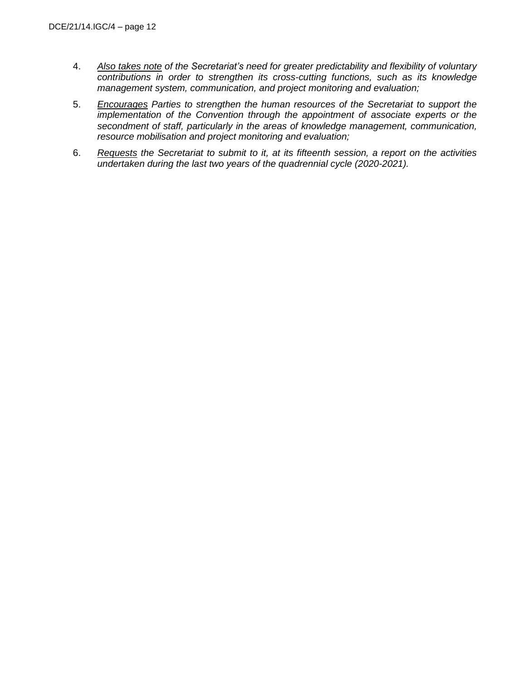- 4. *Also takes note of the Secretariat's need for greater predictability and flexibility of voluntary contributions in order to strengthen its cross-cutting functions, such as its knowledge management system, communication, and project monitoring and evaluation;*
- 5. *Encourages Parties to strengthen the human resources of the Secretariat to support the implementation of the Convention through the appointment of associate experts or the secondment of staff, particularly in the areas of knowledge management, communication, resource mobilisation and project monitoring and evaluation;*
- 6. *Requests the Secretariat to submit to it, at its fifteenth session, a report on the activities undertaken during the last two years of the quadrennial cycle (2020-2021).*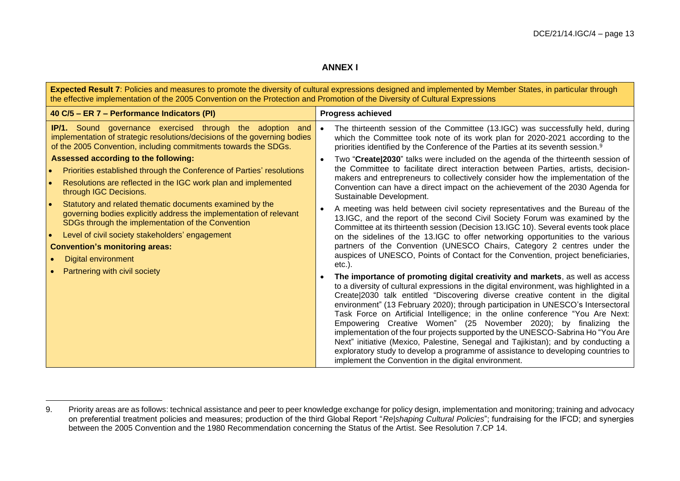### **ANNEX I**

| Expected Result 7: Policies and measures to promote the diversity of cultural expressions designed and implemented by Member States, in particular through<br>the effective implementation of the 2005 Convention on the Protection and Promotion of the Diversity of Cultural Expressions                                                                                                                                                                                                                                                                                                                                                                                                                                                                                                                                          |                                                                                                                                                                                                                                                                                                                                                                                                                                                                                                                                                                                                                                                                                                                                                                                                                                                                                                                                                                                                                                                                                                                                                                                                                                                    |  |  |  |  |  |
|-------------------------------------------------------------------------------------------------------------------------------------------------------------------------------------------------------------------------------------------------------------------------------------------------------------------------------------------------------------------------------------------------------------------------------------------------------------------------------------------------------------------------------------------------------------------------------------------------------------------------------------------------------------------------------------------------------------------------------------------------------------------------------------------------------------------------------------|----------------------------------------------------------------------------------------------------------------------------------------------------------------------------------------------------------------------------------------------------------------------------------------------------------------------------------------------------------------------------------------------------------------------------------------------------------------------------------------------------------------------------------------------------------------------------------------------------------------------------------------------------------------------------------------------------------------------------------------------------------------------------------------------------------------------------------------------------------------------------------------------------------------------------------------------------------------------------------------------------------------------------------------------------------------------------------------------------------------------------------------------------------------------------------------------------------------------------------------------------|--|--|--|--|--|
| 40 C/5 - ER 7 - Performance Indicators (PI)                                                                                                                                                                                                                                                                                                                                                                                                                                                                                                                                                                                                                                                                                                                                                                                         | <b>Progress achieved</b>                                                                                                                                                                                                                                                                                                                                                                                                                                                                                                                                                                                                                                                                                                                                                                                                                                                                                                                                                                                                                                                                                                                                                                                                                           |  |  |  |  |  |
| <b>IP/1.</b> Sound governance exercised through the adoption and<br>implementation of strategic resolutions/decisions of the governing bodies<br>of the 2005 Convention, including commitments towards the SDGs.<br>Assessed according to the following:<br>Priorities established through the Conference of Parties' resolutions<br>$\bullet$<br>Resolutions are reflected in the IGC work plan and implemented<br>$\bullet$<br>through IGC Decisions.<br>Statutory and related thematic documents examined by the<br>$\bullet$<br>governing bodies explicitly address the implementation of relevant<br>SDGs through the implementation of the Convention<br>Level of civil society stakeholders' engagement<br>$\bullet$<br><b>Convention's monitoring areas:</b><br><b>Digital environment</b><br>Partnering with civil society | The thirteenth session of the Committee (13.IGC) was successfully held, during<br>which the Committee took note of its work plan for 2020-2021 according to the<br>priorities identified by the Conference of the Parties at its seventh session. <sup>9</sup><br>Two "Create 2030" talks were included on the agenda of the thirteenth session of<br>the Committee to facilitate direct interaction between Parties, artists, decision-<br>makers and entrepreneurs to collectively consider how the implementation of the<br>Convention can have a direct impact on the achievement of the 2030 Agenda for<br>Sustainable Development.<br>A meeting was held between civil society representatives and the Bureau of the<br>13. IGC, and the report of the second Civil Society Forum was examined by the<br>Committee at its thirteenth session (Decision 13.IGC 10). Several events took place<br>on the sidelines of the 13.IGC to offer networking opportunities to the various<br>partners of the Convention (UNESCO Chairs, Category 2 centres under the<br>auspices of UNESCO, Points of Contact for the Convention, project beneficiaries,<br>$etc.$ ).<br>The importance of promoting digital creativity and markets, as well as access |  |  |  |  |  |
|                                                                                                                                                                                                                                                                                                                                                                                                                                                                                                                                                                                                                                                                                                                                                                                                                                     | to a diversity of cultural expressions in the digital environment, was highlighted in a<br>Create 2030 talk entitled "Discovering diverse creative content in the digital<br>environment" (13 February 2020); through participation in UNESCO's Intersectoral<br>Task Force on Artificial Intelligence; in the online conference "You Are Next:<br>Empowering Creative Women" (25 November 2020); by finalizing the<br>implementation of the four projects supported by the UNESCO-Sabrina Ho "You Are<br>Next" initiative (Mexico, Palestine, Senegal and Tajikistan); and by conducting a<br>exploratory study to develop a programme of assistance to developing countries to<br>implement the Convention in the digital environment.                                                                                                                                                                                                                                                                                                                                                                                                                                                                                                           |  |  |  |  |  |

<sup>9.</sup> Priority areas are as follows: technical assistance and peer to peer knowledge exchange for policy design, implementation and monitoring; training and advocacy on preferential treatment policies and measures; production of the third Global Report "*Re|shaping Cultural Policies*"; fundraising for the IFCD; and synergies between the 2005 Convention and the 1980 Recommendation concerning the Status of the Artist. See Resolution 7.CP 14.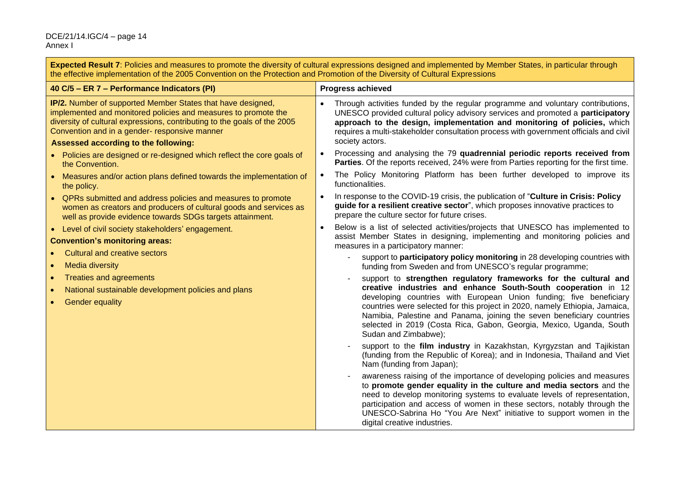#### DCE/21/14.IGC/4 – page 14 Annex I

**Expected Result 7**: Policies and measures to promote the diversity of cultural expressions designed and implemented by Member States, in particular through the effective implementation of the 2005 Convention on the Protection and Promotion of the Diversity of Cultural Expressions

| 40 C/5 - ER 7 - Performance Indicators (PI)                                                                                                                                                                                                                                                               | <b>Progress achieved</b>                                                                                                                                                                                                                                                                                                                                                                                                                                        |  |  |
|-----------------------------------------------------------------------------------------------------------------------------------------------------------------------------------------------------------------------------------------------------------------------------------------------------------|-----------------------------------------------------------------------------------------------------------------------------------------------------------------------------------------------------------------------------------------------------------------------------------------------------------------------------------------------------------------------------------------------------------------------------------------------------------------|--|--|
| <b>IP/2.</b> Number of supported Member States that have designed,<br>implemented and monitored policies and measures to promote the<br>diversity of cultural expressions, contributing to the goals of the 2005<br>Convention and in a gender- responsive manner<br>Assessed according to the following: | Through activities funded by the regular programme and voluntary contributions,<br>UNESCO provided cultural policy advisory services and promoted a participatory<br>approach to the design, implementation and monitoring of policies, which<br>requires a multi-stakeholder consultation process with government officials and civil<br>society actors.                                                                                                       |  |  |
| • Policies are designed or re-designed which reflect the core goals of                                                                                                                                                                                                                                    | Processing and analysing the 79 quadrennial periodic reports received from<br>Parties. Of the reports received, 24% were from Parties reporting for the first time.                                                                                                                                                                                                                                                                                             |  |  |
| the Convention.<br>• Measures and/or action plans defined towards the implementation of<br>the policy.                                                                                                                                                                                                    | The Policy Monitoring Platform has been further developed to improve its<br>functionalities.                                                                                                                                                                                                                                                                                                                                                                    |  |  |
| QPRs submitted and address policies and measures to promote<br>women as creators and producers of cultural goods and services as<br>well as provide evidence towards SDGs targets attainment.                                                                                                             | In response to the COVID-19 crisis, the publication of "Culture in Crisis: Policy<br>guide for a resilient creative sector", which proposes innovative practices to<br>prepare the culture sector for future crises.                                                                                                                                                                                                                                            |  |  |
| • Level of civil society stakeholders' engagement.<br><b>Convention's monitoring areas:</b>                                                                                                                                                                                                               | Below is a list of selected activities/projects that UNESCO has implemented to<br>assist Member States in designing, implementing and monitoring policies and<br>measures in a participatory manner:                                                                                                                                                                                                                                                            |  |  |
| <b>Cultural and creative sectors</b><br><b>Media diversity</b>                                                                                                                                                                                                                                            | support to participatory policy monitoring in 28 developing countries with<br>funding from Sweden and from UNESCO's regular programme;                                                                                                                                                                                                                                                                                                                          |  |  |
| <b>Treaties and agreements</b><br>$\bullet$<br>National sustainable development policies and plans<br>$\bullet$<br><b>Gender equality</b>                                                                                                                                                                 | support to strengthen regulatory frameworks for the cultural and<br>creative industries and enhance South-South cooperation in 12<br>developing countries with European Union funding; five beneficiary<br>countries were selected for this project in 2020, namely Ethiopia, Jamaica,<br>Namibia, Palestine and Panama, joining the seven beneficiary countries<br>selected in 2019 (Costa Rica, Gabon, Georgia, Mexico, Uganda, South<br>Sudan and Zimbabwe); |  |  |
|                                                                                                                                                                                                                                                                                                           | support to the film industry in Kazakhstan, Kyrgyzstan and Tajikistan<br>(funding from the Republic of Korea); and in Indonesia, Thailand and Viet<br>Nam (funding from Japan);                                                                                                                                                                                                                                                                                 |  |  |
|                                                                                                                                                                                                                                                                                                           | awareness raising of the importance of developing policies and measures<br>to promote gender equality in the culture and media sectors and the<br>need to develop monitoring systems to evaluate levels of representation,<br>participation and access of women in these sectors, notably through the<br>UNESCO-Sabrina Ho "You Are Next" initiative to support women in the<br>digital creative industries.                                                    |  |  |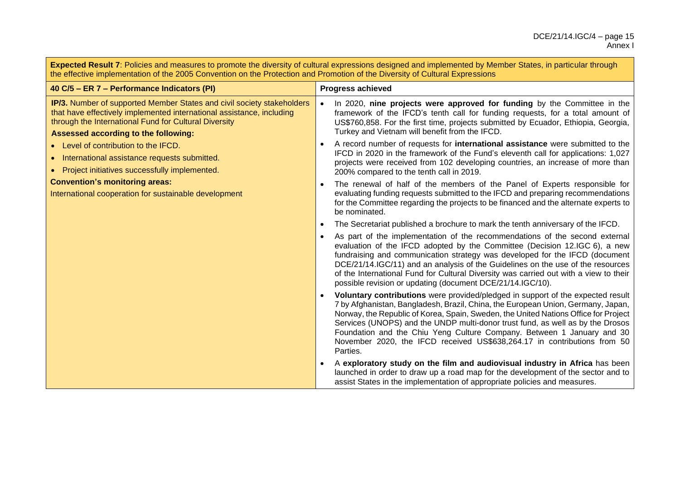**Expected Result 7**: Policies and measures to promote the diversity of cultural expressions designed and implemented by Member States, in particular through the effective implementation of the 2005 Convention on the Protection and Promotion of the Diversity of Cultural Expressions

| 40 C/5 - ER 7 - Performance Indicators (PI)                                                                                                                                                                                                             | <b>Progress achieved</b>                                                                                                                                                                                                                                               |                                                                                                                                                                                                                                                                                                                                                                                                                                                                                                    |  |
|---------------------------------------------------------------------------------------------------------------------------------------------------------------------------------------------------------------------------------------------------------|------------------------------------------------------------------------------------------------------------------------------------------------------------------------------------------------------------------------------------------------------------------------|----------------------------------------------------------------------------------------------------------------------------------------------------------------------------------------------------------------------------------------------------------------------------------------------------------------------------------------------------------------------------------------------------------------------------------------------------------------------------------------------------|--|
| <b>IP/3.</b> Number of supported Member States and civil society stakeholders<br>that have effectively implemented international assistance, including<br>through the International Fund for Cultural Diversity<br>Assessed according to the following: |                                                                                                                                                                                                                                                                        | In 2020, nine projects were approved for funding by the Committee in the<br>framework of the IFCD's tenth call for funding requests, for a total amount of<br>US\$760,858. For the first time, projects submitted by Ecuador, Ethiopia, Georgia,<br>Turkey and Vietnam will benefit from the IFCD.                                                                                                                                                                                                 |  |
| • Level of contribution to the IFCD.<br>• International assistance requests submitted.<br>• Project initiatives successfully implemented.                                                                                                               |                                                                                                                                                                                                                                                                        | A record number of requests for international assistance were submitted to the<br>IFCD in 2020 in the framework of the Fund's eleventh call for applications: 1,027<br>projects were received from 102 developing countries, an increase of more than<br>200% compared to the tenth call in 2019.                                                                                                                                                                                                  |  |
| <b>Convention's monitoring areas:</b><br>International cooperation for sustainable development                                                                                                                                                          | The renewal of half of the members of the Panel of Experts responsible for<br>evaluating funding requests submitted to the IFCD and preparing recommendations<br>for the Committee regarding the projects to be financed and the alternate experts to<br>be nominated. |                                                                                                                                                                                                                                                                                                                                                                                                                                                                                                    |  |
|                                                                                                                                                                                                                                                         |                                                                                                                                                                                                                                                                        | The Secretariat published a brochure to mark the tenth anniversary of the IFCD.                                                                                                                                                                                                                                                                                                                                                                                                                    |  |
|                                                                                                                                                                                                                                                         |                                                                                                                                                                                                                                                                        | As part of the implementation of the recommendations of the second external<br>evaluation of the IFCD adopted by the Committee (Decision 12.IGC 6), a new<br>fundraising and communication strategy was developed for the IFCD (document<br>DCE/21/14.IGC/11) and an analysis of the Guidelines on the use of the resources<br>of the International Fund for Cultural Diversity was carried out with a view to their<br>possible revision or updating (document DCE/21/14.IGC/10).                 |  |
|                                                                                                                                                                                                                                                         | Parties.                                                                                                                                                                                                                                                               | Voluntary contributions were provided/pledged in support of the expected result<br>7 by Afghanistan, Bangladesh, Brazil, China, the European Union, Germany, Japan,<br>Norway, the Republic of Korea, Spain, Sweden, the United Nations Office for Project<br>Services (UNOPS) and the UNDP multi-donor trust fund, as well as by the Drosos<br>Foundation and the Chiu Yeng Culture Company. Between 1 January and 30<br>November 2020, the IFCD received US\$638,264.17 in contributions from 50 |  |
|                                                                                                                                                                                                                                                         |                                                                                                                                                                                                                                                                        | A exploratory study on the film and audiovisual industry in Africa has been<br>launched in order to draw up a road map for the development of the sector and to<br>assist States in the implementation of appropriate policies and measures.                                                                                                                                                                                                                                                       |  |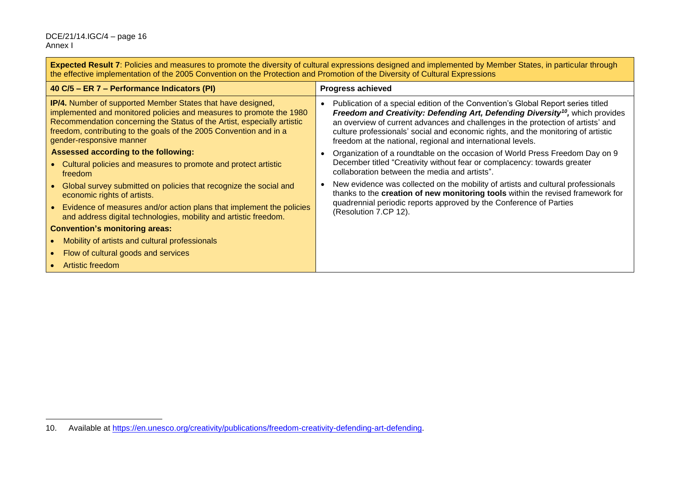#### DCE/21/14.IGC/4 – page 16 Annex I

**Expected Result 7**: Policies and measures to promote the diversity of cultural expressions designed and implemented by Member States, in particular through the effective implementation of the 2005 Convention on the Protection and Promotion of the Diversity of Cultural Expressions

| 40 C/5 – ER 7 – Performance Indicators (PI)                                                                                                                                                                                                                                                                            | <b>Progress achieved</b>                                                                                                                                                                                                                                                                                                                                                                                              |  |  |  |
|------------------------------------------------------------------------------------------------------------------------------------------------------------------------------------------------------------------------------------------------------------------------------------------------------------------------|-----------------------------------------------------------------------------------------------------------------------------------------------------------------------------------------------------------------------------------------------------------------------------------------------------------------------------------------------------------------------------------------------------------------------|--|--|--|
| <b>IP/4.</b> Number of supported Member States that have designed,<br>implemented and monitored policies and measures to promote the 1980<br>Recommendation concerning the Status of the Artist, especially artistic<br>freedom, contributing to the goals of the 2005 Convention and in a<br>gender-responsive manner | Publication of a special edition of the Convention's Global Report series titled<br>Freedom and Creativity: Defending Art, Defending Diversity <sup>10</sup> , which provides<br>an overview of current advances and challenges in the protection of artists' and<br>culture professionals' social and economic rights, and the monitoring of artistic<br>freedom at the national, regional and international levels. |  |  |  |
| Assessed according to the following:<br>• Cultural policies and measures to promote and protect artistic<br>freedom                                                                                                                                                                                                    | Organization of a roundtable on the occasion of World Press Freedom Day on 9<br>December titled "Creativity without fear or complacency: towards greater<br>collaboration between the media and artists".                                                                                                                                                                                                             |  |  |  |
| Global survey submitted on policies that recognize the social and<br>economic rights of artists.                                                                                                                                                                                                                       | New evidence was collected on the mobility of artists and cultural professionals<br>thanks to the creation of new monitoring tools within the revised framework for<br>quadrennial periodic reports approved by the Conference of Parties                                                                                                                                                                             |  |  |  |
| Evidence of measures and/or action plans that implement the policies<br>and address digital technologies, mobility and artistic freedom.                                                                                                                                                                               | (Resolution 7.CP 12).                                                                                                                                                                                                                                                                                                                                                                                                 |  |  |  |
| <b>Convention's monitoring areas:</b>                                                                                                                                                                                                                                                                                  |                                                                                                                                                                                                                                                                                                                                                                                                                       |  |  |  |
| Mobility of artists and cultural professionals                                                                                                                                                                                                                                                                         |                                                                                                                                                                                                                                                                                                                                                                                                                       |  |  |  |
| Flow of cultural goods and services                                                                                                                                                                                                                                                                                    |                                                                                                                                                                                                                                                                                                                                                                                                                       |  |  |  |
| Artistic freedom                                                                                                                                                                                                                                                                                                       |                                                                                                                                                                                                                                                                                                                                                                                                                       |  |  |  |

<sup>10.</sup> Available at [https://en.unesco.org/creativity/publications/freedom-creativity-defending-art-defending.](https://en.unesco.org/creativity/publications/freedom-creativity-defending-art-defending)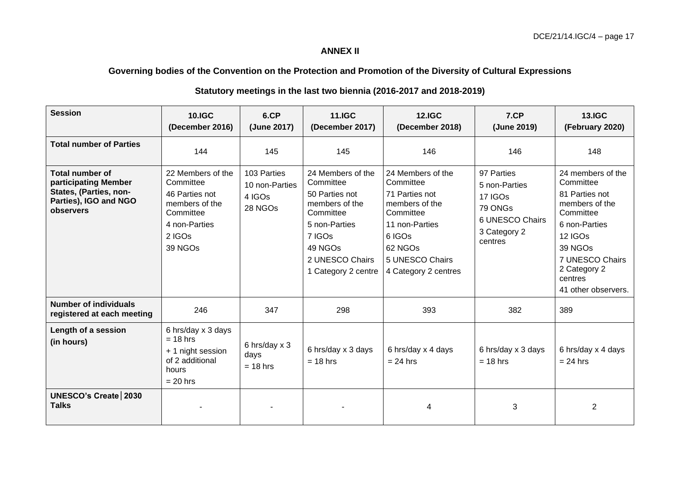## **ANNEX II**

## **Governing bodies of the Convention on the Protection and Promotion of the Diversity of Cultural Expressions**

| <b>Session</b>                                                                                                 | <b>10.IGC</b><br>(December 2016)                                                                                      | 6.CP<br>(June 2017)                                | <b>11.IGC</b><br>(December 2017)                                                                                                                                | <b>12.IGC</b><br>(December 2018)                                                                                                                                  | 7.CP<br>(June 2019)                                                                             | <b>13.IGC</b><br>(February 2020)                                                                                                                                                            |
|----------------------------------------------------------------------------------------------------------------|-----------------------------------------------------------------------------------------------------------------------|----------------------------------------------------|-----------------------------------------------------------------------------------------------------------------------------------------------------------------|-------------------------------------------------------------------------------------------------------------------------------------------------------------------|-------------------------------------------------------------------------------------------------|---------------------------------------------------------------------------------------------------------------------------------------------------------------------------------------------|
| <b>Total number of Parties</b>                                                                                 | 144                                                                                                                   | 145                                                | 145                                                                                                                                                             | 146                                                                                                                                                               | 146                                                                                             | 148                                                                                                                                                                                         |
| <b>Total number of</b><br>participating Member<br>States, (Parties, non-<br>Parties), IGO and NGO<br>observers | 22 Members of the<br>Committee<br>46 Parties not<br>members of the<br>Committee<br>4 non-Parties<br>2 IGOs<br>39 NGOs | 103 Parties<br>10 non-Parties<br>4 IGOs<br>28 NGOs | 24 Members of the<br>Committee<br>50 Parties not<br>members of the<br>Committee<br>5 non-Parties<br>7 IGOs<br>49 NGOs<br>2 UNESCO Chairs<br>1 Category 2 centre | 24 Members of the<br>Committee<br>71 Parties not<br>members of the<br>Committee<br>11 non-Parties<br>6 IGOs<br>62 NGOs<br>5 UNESCO Chairs<br>4 Category 2 centres | 97 Parties<br>5 non-Parties<br>17 IGOs<br>79 ONGs<br>6 UNESCO Chairs<br>3 Category 2<br>centres | 24 members of the<br>Committee<br>81 Parties not<br>members of the<br>Committee<br>6 non-Parties<br>12 IGOs<br>39 NGOs<br>7 UNESCO Chairs<br>2 Category 2<br>centres<br>41 other observers. |
| <b>Number of individuals</b><br>registered at each meeting                                                     | 246                                                                                                                   | 347                                                | 298                                                                                                                                                             | 393                                                                                                                                                               | 382                                                                                             | 389                                                                                                                                                                                         |
| Length of a session<br>(in hours)                                                                              | 6 hrs/day x 3 days<br>$= 18$ hrs<br>+ 1 night session<br>of 2 additional<br>hours<br>$= 20$ hrs                       | 6 hrs/day x 3<br>days<br>$= 18$ hrs                | 6 hrs/day x 3 days<br>$= 18$ hrs                                                                                                                                | 6 hrs/day x 4 days<br>$= 24$ hrs                                                                                                                                  | 6 hrs/day x 3 days<br>$= 18$ hrs                                                                | 6 hrs/day x 4 days<br>$= 24$ hrs                                                                                                                                                            |
| UNESCO's Create   2030<br><b>Talks</b>                                                                         |                                                                                                                       |                                                    |                                                                                                                                                                 | 4                                                                                                                                                                 | 3                                                                                               | $\overline{2}$                                                                                                                                                                              |

## **Statutory meetings in the last two biennia (2016-2017 and 2018-2019)**